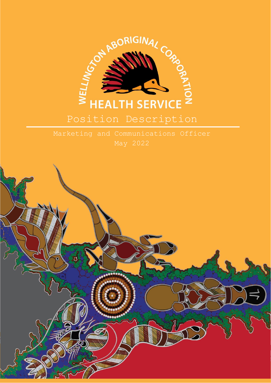

Position Description

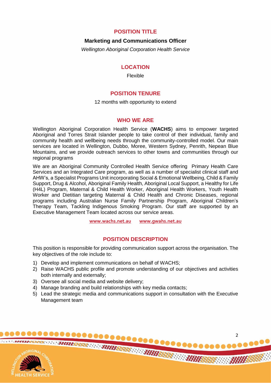# **POSITION TITLE**

### **Marketing and Communications Officer**

*Wellington Aboriginal Corporation Health Service*

## **LOCATION**

Flexible

# **POSITION TENURE**

12 months with opportunity to extend

# **WHO WE ARE**

Wellington Aboriginal Corporation Health Service (**WACHS**) aims to empower targeted Aboriginal and Torres Strait Islander people to take control of their individual, family and community health and wellbeing needs through the community-controlled model. Our main services are located in Wellington, Dubbo, Moree, Western Sydney, Penrith, Nepean Blue Mountains, and we provide outreach services to other towns and communities through our regional programs

We are an Aboriginal Community Controlled Health Service offering Primary Health Care Services and an Integrated Care program, as well as a number of specialist clinical staff and AHW's, a Specialist Programs Unit incorporating Social & Emotional Wellbeing, Child & Family Support, Drug & Alcohol, Aboriginal Family Health, Aboriginal Local Support, a Healthy for Life (H4L) Program, Maternal & Child Health Worker, Aboriginal Health Workers, Youth Health Worker and Dietitian targeting Maternal & Child Health and Chronic Diseases, regional programs including Australian Nurse Family Partnership Program, Aboriginal Children's Therapy Team, Tackling Indigenous Smoking Program. Our staff are supported by an Executive Management Team located across our service areas.

**[www.wachs.net.au](http://www.wachs.net.au/) www.gwahs.net.au**

# **POSITION DESCRIPTION**

This position is responsible for providing communication support across the organisation. The key objectives of the role include to:

- 1) Develop and implement communications on behalf of WACHS;
- 2) Raise WACHS public profile and promote understanding of our objectives and activities both internally and externally;
- 3) Oversee all social media and website delivery;
- 4) Manage branding and build relationships with key media contacts;
- 5) Lead the strategic media and communications support in consultation with the Executive Management team

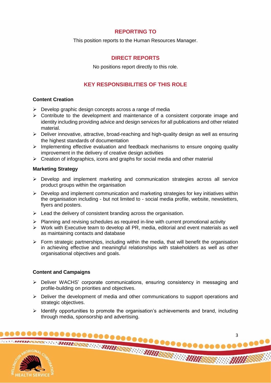# **REPORTING TO**

This position reports to the Human Resources Manager.

# **DIRECT REPORTS**

No positions report directly to this role.

# **KEY RESPONSIBILITIES OF THIS ROLE**

## **Content Creation**

- $\triangleright$  Develop graphic design concepts across a range of media
- $\triangleright$  Contribute to the development and maintenance of a consistent corporate image and identity including providing advice and design services for all publications and other related material.
- $\triangleright$  Deliver innovative, attractive, broad-reaching and high-quality design as well as ensuring the highest standards of documentation
- $\triangleright$  Implementing effective evaluation and feedback mechanisms to ensure ongoing quality improvement in the delivery of creative design activities
- $\triangleright$  Creation of infographics, icons and graphs for social media and other material

## **Marketing Strategy**

- Develop and implement marketing and communication strategies across all service product groups within the organisation
- $\triangleright$  Develop and implement communication and marketing strategies for key initiatives within the organisation including - but not limited to - social media profile, website, newsletters, flyers and posters.
- $\triangleright$  Lead the delivery of consistent branding across the organisation.
- $\triangleright$  Planning and revising schedules as required in-line with current promotional activity
- Work with Executive team to develop all PR, media, editorial and event materials as well as maintaining contacts and database
- $\triangleright$  Form strategic partnerships, including within the media, that will benefit the organisation in achieving effective and meaningful relationships with stakeholders as well as other organisational objectives and goals.

### **Content and Campaigns**

- Deliver WACHS' corporate communications, ensuring consistency in messaging and profile-building on priorities and objectives.
- $\triangleright$  Deliver the development of media and other communications to support operations and strategic objectives.
- $\triangleright$  Identify opportunities to promote the organisation's achievements and brand, including through media, sponsorship and advertising.

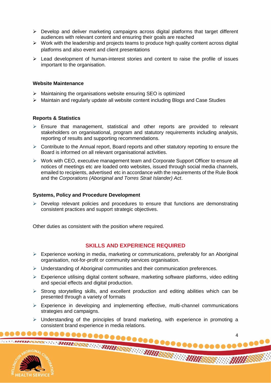- $\triangleright$  Develop and deliver marketing campaigns across digital platforms that target different audiences with relevant content and ensuring their goals are reached
- $\triangleright$  Work with the leadership and projects teams to produce high quality content across digital platforms and also event and client presentations
- $\triangleright$  Lead development of human-interest stories and content to raise the profile of issues important to the organisation.

### **Website Maintenance**

- $\triangleright$  Maintaining the organisations website ensuring SEO is optimized
- $\triangleright$  Maintain and regularly update all website content including Blogs and Case Studies

### **Reports & Statistics**

- $\triangleright$  Ensure that management, statistical and other reports are provided to relevant stakeholders on organisational, program and statutory requirements including analysis, reporting of results and supporting recommendations.
- $\triangleright$  Contribute to the Annual report, Board reports and other statutory reporting to ensure the Board is informed on all relevant organisational activities.
- $\triangleright$  Work with CEO, executive management team and Corporate Support Officer to ensure all notices of meetings etc are loaded onto websites, issued through social media channels, emailed to recipients, advertised etc in accordance with the requirements of the Rule Book and the *Corporations (Aboriginal and Torres Strait Islander) Act*.

### **Systems, Policy and Procedure Development**

 $\triangleright$  Develop relevant policies and procedures to ensure that functions are demonstrating consistent practices and support strategic objectives.

Other duties as consistent with the position where required.

# **SKILLS AND EXPERIENCE REQUIRED**

- $\triangleright$  Experience working in media, marketing or communications, preferably for an Aboriginal organisation, not-for-profit or community services organisation.
- $\triangleright$  Understanding of Aboriginal communities and their communication preferences.
- $\triangleright$  Experience utilising digital content software, marketing software platforms, video editing and special effects and digital production.
- $\triangleright$  Strong storytelling skills, and excellent production and editing abilities which can be presented through a variety of formats
- $\triangleright$  Experience in developing and implementing effective, multi-channel communications strategies and campaigns.
- $\triangleright$  Understanding of the principles of brand marketing, with experience in promoting a consistent brand experience in media relations.